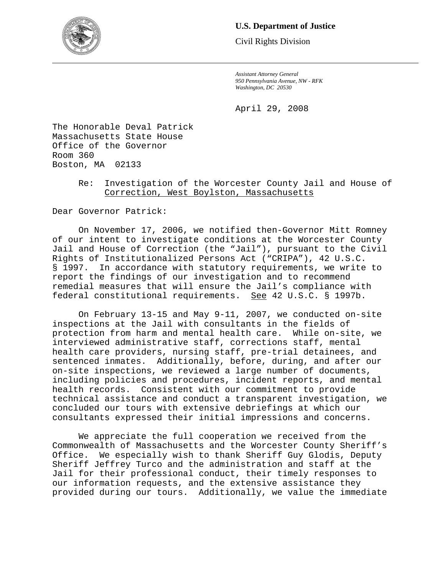

# **U.S. Department of Justice**

Civil Rights Division

*Assistant Attorney General 950 Pennsylvania Avenue, NW - RFK Washington, DC 20530* 

April 29, 2008

The Honorable Deval Patrick Massachusetts State House Office of the Governor Room 360 Boston, MA 02133

# Re: Investigation of the Worcester County Jail and House of Correction, West Boylston, Massachusetts

Dear Governor Patrick:

On November 17, 2006, we notified then-Governor Mitt Romney of our intent to investigate conditions at the Worcester County Jail and House of Correction (the "Jail"), pursuant to the Civil Rights of Institutionalized Persons Act ("CRIPA"), 42 U.S.C. § 1997. In accordance with statutory requirements, we write to report the findings of our investigation and to recommend remedial measures that will ensure the Jail's compliance with federal constitutional requirements. See 42 U.S.C. § 1997b.

On February 13-15 and May 9-11, 2007, we conducted on-site inspections at the Jail with consultants in the fields of protection from harm and mental health care. While on-site, we interviewed administrative staff, corrections staff, mental health care providers, nursing staff, pre-trial detainees, and sentenced inmates. Additionally, before, during, and after our on-site inspections, we reviewed a large number of documents, including policies and procedures, incident reports, and mental health records. Consistent with our commitment to provide technical assistance and conduct a transparent investigation, we concluded our tours with extensive debriefings at which our consultants expressed their initial impressions and concerns.

We appreciate the full cooperation we received from the Commonwealth of Massachusetts and the Worcester County Sheriff's Office. We especially wish to thank Sheriff Guy Glodis, Deputy Sheriff Jeffrey Turco and the administration and staff at the Jail for their professional conduct, their timely responses to our information requests, and the extensive assistance they provided during our tours. Additionally, we value the immediate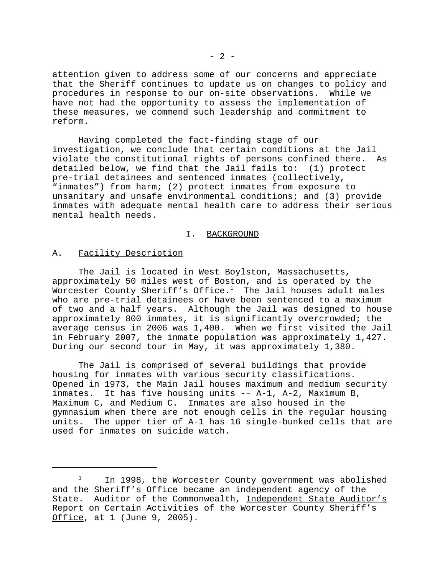attention given to address some of our concerns and appreciate that the Sheriff continues to update us on changes to policy and procedures in response to our on-site observations. While we have not had the opportunity to assess the implementation of these measures, we commend such leadership and commitment to reform.

Having completed the fact-finding stage of our investigation, we conclude that certain conditions at the Jail violate the constitutional rights of persons confined there. As detailed below, we find that the Jail fails to: (1) protect pre-trial detainees and sentenced inmates (collectively, "inmates") from harm; (2) protect inmates from exposure to unsanitary and unsafe environmental conditions; and (3) provide inmates with adequate mental health care to address their serious mental health needs.

### I. BACKGROUND

### A. Facility Description

The Jail is located in West Boylston, Massachusetts, approximately 50 miles west of Boston, and is operated by the Worcester County Sheriff's Office.<sup>1</sup> The Jail houses adult males who are pre-trial detainees or have been sentenced to a maximum of two and a half years. Although the Jail was designed to house approximately 800 inmates, it is significantly overcrowded; the average census in 2006 was 1,400. When we first visited the Jail in February 2007, the inmate population was approximately 1,427. During our second tour in May, it was approximately 1,380.

The Jail is comprised of several buildings that provide housing for inmates with various security classifications. Opened in 1973, the Main Jail houses maximum and medium security inmates. It has five housing units -– A-1, A-2, Maximum B, Maximum C, and Medium C. Inmates are also housed in the gymnasium when there are not enough cells in the regular housing units. The upper tier of A-1 has 16 single-bunked cells that are used for inmates on suicide watch.

 $1$  In 1998, the Worcester County government was abolished and the Sheriff's Office became an independent agency of the State. Auditor of the Commonwealth, Independent State Auditor's Report on Certain Activities of the Worcester County Sheriff's Office, at 1 (June 9, 2005).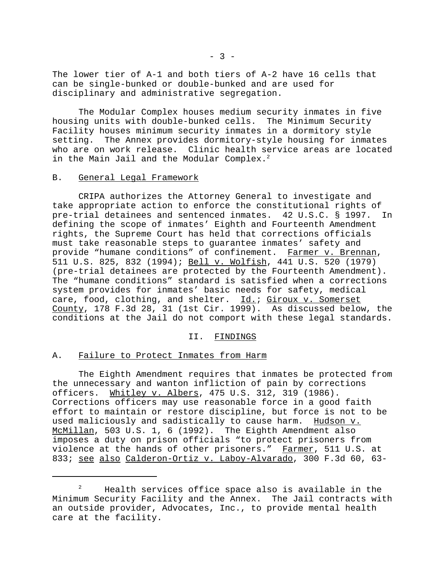The lower tier of A-1 and both tiers of A-2 have 16 cells that can be single-bunked or double-bunked and are used for disciplinary and administrative segregation.

The Modular Complex houses medium security inmates in five housing units with double-bunked cells. The Minimum Security Facility houses minimum security inmates in a dormitory style setting. The Annex provides dormitory-style housing for inmates who are on work release. Clinic health service areas are located in the Main Jail and the Modular Complex. $^2$ 

#### B. General Legal Framework

CRIPA authorizes the Attorney General to investigate and take appropriate action to enforce the constitutional rights of pre-trial detainees and sentenced inmates. 42 U.S.C. § 1997. In defining the scope of inmates' Eighth and Fourteenth Amendment rights, the Supreme Court has held that corrections officials must take reasonable steps to guarantee inmates' safety and provide "humane conditions" of confinement. Farmer v. Brennan, 511 U.S. 825, 832 (1994); Bell v. Wolfish, 441 U.S. 520 (1979) (pre-trial detainees are protected by the Fourteenth Amendment). The "humane conditions" standard is satisfied when a corrections system provides for inmates' basic needs for safety, medical care, food, clothing, and shelter. Id.; Giroux v. Somerset County, 178 F.3d 28, 31 (1st Cir. 1999). As discussed below, the conditions at the Jail do not comport with these legal standards.

II. FINDINGS

#### A. Failure to Protect Inmates from Harm

The Eighth Amendment requires that inmates be protected from the unnecessary and wanton infliction of pain by corrections officers. Whitley v. Albers, 475 U.S. 312, 319 (1986). Corrections officers may use reasonable force in a good faith effort to maintain or restore discipline, but force is not to be used maliciously and sadistically to cause harm. Hudson v. McMillan, 503 U.S. 1, 6 (1992). The Eighth Amendment also imposes a duty on prison officials "to protect prisoners from violence at the hands of other prisoners." Farmer, 511 U.S. at 833; see also Calderon-Ortiz v. Laboy-Alvarado, 300 F.3d 60, 63-

<sup>&</sup>lt;sup>2</sup> Health services office space also is available in the Minimum Security Facility and the Annex. The Jail contracts with an outside provider, Advocates, Inc., to provide mental health care at the facility.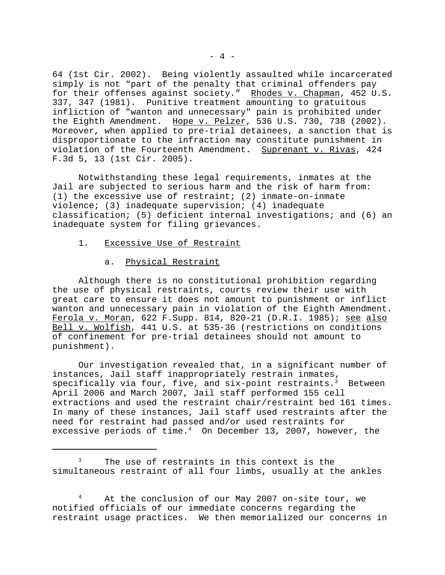64 (1st Cir. 2002). Being violently assaulted while incarcerated simply is not "part of the penalty that criminal offenders pay for their offenses against society." Rhodes v. Chapman, 452 U.S. 337, 347 (1981). Punitive treatment amounting to gratuitous infliction of "wanton and unnecessary" pain is prohibited under the Eighth Amendment. Hope v. Pelzer, 536 U.S. 730, 738 (2002). Moreover, when applied to pre-trial detainees, a sanction that is disproportionate to the infraction may constitute punishment in violation of the Fourteenth Amendment. Suprenant v. Rivas, 424 F.3d 5, 13 (1st Cir. 2005).

Notwithstanding these legal requirements, inmates at the Jail are subjected to serious harm and the risk of harm from: (1) the excessive use of restraint; (2) inmate-on-inmate violence; (3) inadequate supervision; (4) inadequate classification; (5) deficient internal investigations; and (6) an inadequate system for filing grievances.

- 1. Excessive Use of Restraint
	- a. Physical Restraint

Although there is no constitutional prohibition regarding the use of physical restraints, courts review their use with great care to ensure it does not amount to punishment or inflict wanton and unnecessary pain in violation of the Eighth Amendment. Ferola v. Moran, 622 F. Supp. 814, 820-21 (D.R.I. 1985); see also Bell v. Wolfish, 441 U.S. at 535-36 (restrictions on conditions of confinement for pre-trial detainees should not amount to punishment).

Our investigation revealed that, in a significant number of instances, Jail staff inappropriately restrain inmates, specifically via four, five, and  $six$ -point restraints.<sup>3</sup> Between April 2006 and March 2007, Jail staff performed 155 cell extractions and used the restraint chair/restraint bed 161 times. In many of these instances, Jail staff used restraints after the need for restraint had passed and/or used restraints for excessive periods of time. $4$  On December 13, 2007, however, the

4 At the conclusion of our May 2007 on-site tour, we notified officials of our immediate concerns regarding the restraint usage practices. We then memorialized our concerns in

<sup>&</sup>lt;sup>3</sup> The use of restraints in this context is the simultaneous restraint of all four limbs, usually at the ankles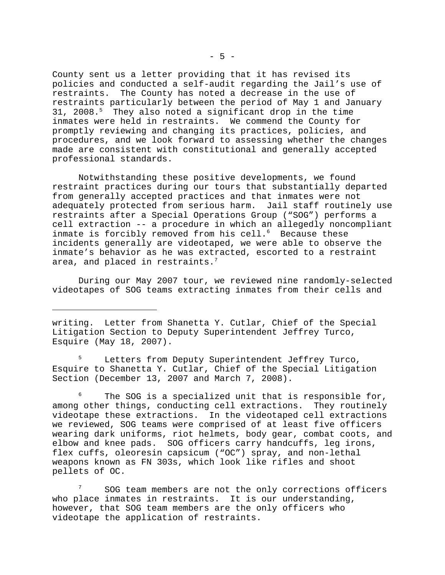County sent us a letter providing that it has revised its policies and conducted a self-audit regarding the Jail's use of restraints. The County has noted a decrease in the use of restraints particularly between the period of May 1 and January 31, 2008.<sup>5</sup> They also noted a significant drop in the time inmates were held in restraints. We commend the County for promptly reviewing and changing its practices, policies, and procedures, and we look forward to assessing whether the changes made are consistent with constitutional and generally accepted professional standards.

Notwithstanding these positive developments, we found restraint practices during our tours that substantially departed from generally accepted practices and that inmates were not adequately protected from serious harm. Jail staff routinely use restraints after a Special Operations Group ("SOG") performs a cell extraction -- a procedure in which an allegedly noncompliant inmate is forcibly removed from his cell.<sup>6</sup> Because these incidents generally are videotaped, we were able to observe the inmate's behavior as he was extracted, escorted to a restraint area, and placed in restraints.<sup>7</sup>

During our May 2007 tour, we reviewed nine randomly-selected videotapes of SOG teams extracting inmates from their cells and

writing. Letter from Shanetta Y. Cutlar, Chief of the Special Litigation Section to Deputy Superintendent Jeffrey Turco, Esquire (May 18, 2007).

<sup>5</sup> Letters from Deputy Superintendent Jeffrey Turco, Esquire to Shanetta Y. Cutlar, Chief of the Special Litigation Section (December 13, 2007 and March 7, 2008).

The SOG is a specialized unit that is responsible for, among other things, conducting cell extractions. They routinely videotape these extractions. In the videotaped cell extractions we reviewed, SOG teams were comprised of at least five officers wearing dark uniforms, riot helmets, body gear, combat coots, and elbow and knee pads. SOG officers carry handcuffs, leg irons, flex cuffs, oleoresin capsicum ("OC") spray, and non-lethal weapons known as FN 303s, which look like rifles and shoot pellets of OC.

SOG team members are not the only corrections officers who place inmates in restraints. It is our understanding, however, that SOG team members are the only officers who videotape the application of restraints.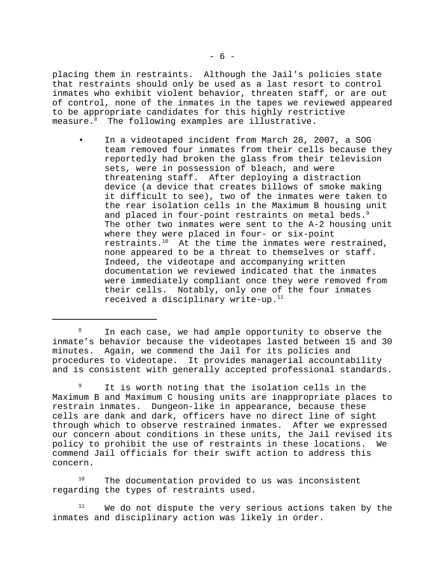placing them in restraints. Although the Jail's policies state that restraints should only be used as a last resort to control inmates who exhibit violent behavior, threaten staff, or are out of control, none of the inmates in the tapes we reviewed appeared to be appropriate candidates for this highly restrictive measure.<sup>8</sup> The following examples are illustrative.

• In a videotaped incident from March 28, 2007, a SOG team removed four inmates from their cells because they reportedly had broken the glass from their television sets, were in possession of bleach, and were threatening staff. After deploying a distraction device (a device that creates billows of smoke making it difficult to see), two of the inmates were taken to the rear isolation cells in the Maximum B housing unit and placed in four-point restraints on metal beds.<sup>9</sup> The other two inmates were sent to the A-2 housing unit where they were placed in four- or six-point restraints.10 At the time the inmates were restrained, none appeared to be a threat to themselves or staff. Indeed, the videotape and accompanying written documentation we reviewed indicated that the inmates were immediately compliant once they were removed from their cells. Notably, only one of the four inmates received a disciplinary write-up.<sup>11</sup>

 $10$  The documentation provided to us was inconsistent regarding the types of restraints used.

 $11$  We do not dispute the very serious actions taken by the inmates and disciplinary action was likely in order.

<sup>&</sup>lt;sup>8</sup> In each case, we had ample opportunity to observe the inmate's behavior because the videotapes lasted between 15 and 30 minutes. Again, we commend the Jail for its policies and procedures to videotape. It provides managerial accountability and is consistent with generally accepted professional standards.

<sup>&</sup>lt;sup>9</sup> It is worth noting that the isolation cells in the Maximum B and Maximum C housing units are inappropriate places to restrain inmates. Dungeon-like in appearance, because these cells are dank and dark, officers have no direct line of sight through which to observe restrained inmates. After we expressed our concern about conditions in these units, the Jail revised its policy to prohibit the use of restraints in these locations. We commend Jail officials for their swift action to address this concern.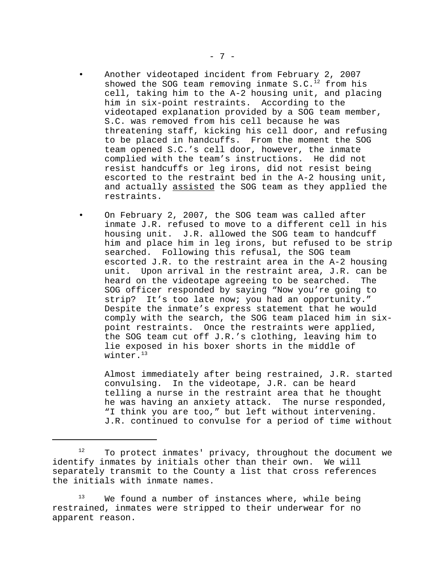- Another videotaped incident from February 2, 2007 showed the SOG team removing inmate  $S.C.<sup>12</sup>$  from his cell, taking him to the A-2 housing unit, and placing him in six-point restraints. According to the videotaped explanation provided by a SOG team member, S.C. was removed from his cell because he was threatening staff, kicking his cell door, and refusing to be placed in handcuffs. From the moment the SOG team opened S.C.'s cell door, however, the inmate complied with the team's instructions. He did not resist handcuffs or leg irons, did not resist being escorted to the restraint bed in the A-2 housing unit, and actually assisted the SOG team as they applied the restraints.
- On February 2, 2007, the SOG team was called after inmate J.R. refused to move to a different cell in his housing unit. J.R. allowed the SOG team to handcuff him and place him in leg irons, but refused to be strip searched. Following this refusal, the SOG team escorted J.R. to the restraint area in the A-2 housing unit. Upon arrival in the restraint area, J.R. can be heard on the videotape agreeing to be searched. The SOG officer responded by saying "Now you're going to strip? It's too late now; you had an opportunity." Despite the inmate's express statement that he would comply with the search, the SOG team placed him in sixpoint restraints. Once the restraints were applied, the SOG team cut off J.R.'s clothing, leaving him to lie exposed in his boxer shorts in the middle of winter.<sup>13</sup>

Almost immediately after being restrained, J.R. started convulsing. In the videotape, J.R. can be heard telling a nurse in the restraint area that he thought he was having an anxiety attack. The nurse responded, "I think you are too," but left without intervening. J.R. continued to convulse for a period of time without

 $12$  To protect inmates' privacy, throughout the document we identify inmates by initials other than their own. We will separately transmit to the County a list that cross references the initials with inmate names.

 $13$  We found a number of instances where, while being restrained, inmates were stripped to their underwear for no apparent reason.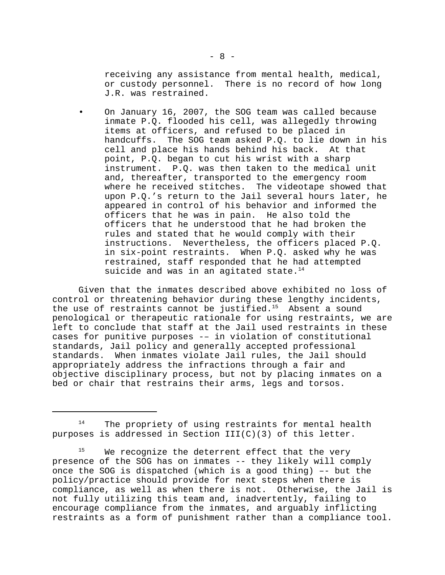receiving any assistance from mental health, medical, or custody personnel. There is no record of how long J.R. was restrained.

• On January 16, 2007, the SOG team was called because inmate P.Q. flooded his cell, was allegedly throwing items at officers, and refused to be placed in handcuffs. The SOG team asked P.Q. to lie down in his cell and place his hands behind his back. At that point, P.Q. began to cut his wrist with a sharp instrument. P.Q. was then taken to the medical unit and, thereafter, transported to the emergency room where he received stitches. The videotape showed that upon P.Q.'s return to the Jail several hours later, he appeared in control of his behavior and informed the officers that he was in pain. He also told the officers that he understood that he had broken the rules and stated that he would comply with their instructions. Nevertheless, the officers placed P.Q. in six-point restraints. When P.Q. asked why he was restrained, staff responded that he had attempted suicide and was in an agitated state. $14$ 

Given that the inmates described above exhibited no loss of control or threatening behavior during these lengthy incidents, the use of restraints cannot be justified.<sup>15</sup> Absent a sound penological or therapeutic rationale for using restraints, we are left to conclude that staff at the Jail used restraints in these cases for punitive purposes -– in violation of constitutional standards, Jail policy and generally accepted professional standards. When inmates violate Jail rules, the Jail should appropriately address the infractions through a fair and objective disciplinary process, but not by placing inmates on a bed or chair that restrains their arms, legs and torsos.

<sup>&</sup>lt;sup>14</sup> The propriety of using restraints for mental health purposes is addressed in Section  $III(C)(3)$  of this letter.

 $15$  We recognize the deterrent effect that the very presence of the SOG has on inmates -- they likely will comply once the SOG is dispatched (which is a good thing) –- but the policy/practice should provide for next steps when there is compliance, as well as when there is not. Otherwise, the Jail is not fully utilizing this team and, inadvertently, failing to encourage compliance from the inmates, and arguably inflicting restraints as a form of punishment rather than a compliance tool.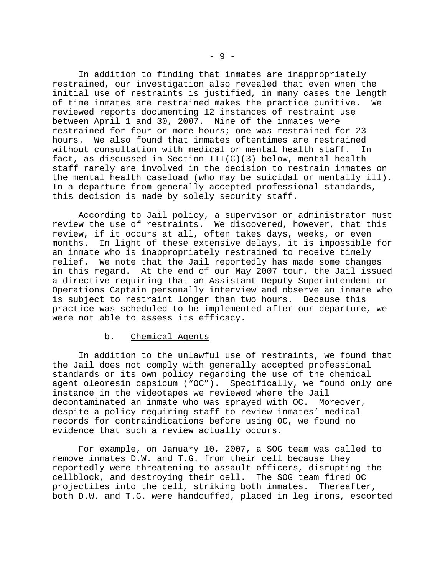In addition to finding that inmates are inappropriately restrained, our investigation also revealed that even when the initial use of restraints is justified, in many cases the length of time inmates are restrained makes the practice punitive. We reviewed reports documenting 12 instances of restraint use between April 1 and 30, 2007. Nine of the inmates were restrained for four or more hours; one was restrained for 23 hours. We also found that inmates oftentimes are restrained without consultation with medical or mental health staff. In fact, as discussed in Section  $III(C)(3)$  below, mental health staff rarely are involved in the decision to restrain inmates on the mental health caseload (who may be suicidal or mentally ill). In a departure from generally accepted professional standards, this decision is made by solely security staff.

According to Jail policy, a supervisor or administrator must review the use of restraints. We discovered, however, that this review, if it occurs at all, often takes days, weeks, or even months. In light of these extensive delays, it is impossible for an inmate who is inappropriately restrained to receive timely relief. We note that the Jail reportedly has made some changes in this regard. At the end of our May 2007 tour, the Jail issued a directive requiring that an Assistant Deputy Superintendent or Operations Captain personally interview and observe an inmate who is subject to restraint longer than two hours. Because this practice was scheduled to be implemented after our departure, we were not able to assess its efficacy.

### b. Chemical Agents

In addition to the unlawful use of restraints, we found that the Jail does not comply with generally accepted professional standards or its own policy regarding the use of the chemical agent oleoresin capsicum ("OC"). Specifically, we found only one instance in the videotapes we reviewed where the Jail decontaminated an inmate who was sprayed with OC. Moreover, despite a policy requiring staff to review inmates' medical records for contraindications before using OC, we found no evidence that such a review actually occurs.

For example, on January 10, 2007, a SOG team was called to remove inmates D.W. and T.G. from their cell because they reportedly were threatening to assault officers, disrupting the cellblock, and destroying their cell. The SOG team fired OC projectiles into the cell, striking both inmates. Thereafter, both D.W. and T.G. were handcuffed, placed in leg irons, escorted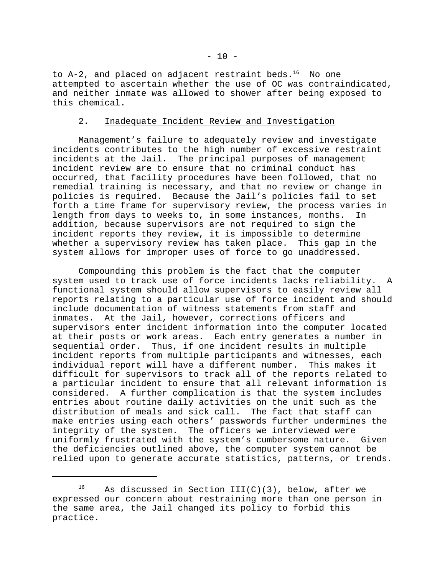to  $A-2$ , and placed on adjacent restraint beds.<sup>16</sup> No one attempted to ascertain whether the use of OC was contraindicated, and neither inmate was allowed to shower after being exposed to this chemical.

## 2. Inadequate Incident Review and Investigation

Management's failure to adequately review and investigate incidents contributes to the high number of excessive restraint incidents at the Jail. The principal purposes of management incident review are to ensure that no criminal conduct has occurred, that facility procedures have been followed, that no remedial training is necessary, and that no review or change in policies is required. Because the Jail's policies fail to set forth a time frame for supervisory review, the process varies in length from days to weeks to, in some instances, months. In addition, because supervisors are not required to sign the incident reports they review, it is impossible to determine whether a supervisory review has taken place. This gap in the system allows for improper uses of force to go unaddressed.

Compounding this problem is the fact that the computer system used to track use of force incidents lacks reliability. A functional system should allow supervisors to easily review all reports relating to a particular use of force incident and should include documentation of witness statements from staff and inmates. At the Jail, however, corrections officers and supervisors enter incident information into the computer located at their posts or work areas. Each entry generates a number in sequential order. Thus, if one incident results in multiple incident reports from multiple participants and witnesses, each individual report will have a different number. This makes it difficult for supervisors to track all of the reports related to a particular incident to ensure that all relevant information is considered. A further complication is that the system includes entries about routine daily activities on the unit such as the distribution of meals and sick call. The fact that staff can make entries using each others' passwords further undermines the integrity of the system. The officers we interviewed were uniformly frustrated with the system's cumbersome nature. Given the deficiencies outlined above, the computer system cannot be relied upon to generate accurate statistics, patterns, or trends.

<sup>&</sup>lt;sup>16</sup> As discussed in Section III(C)(3), below, after we expressed our concern about restraining more than one person in the same area, the Jail changed its policy to forbid this practice.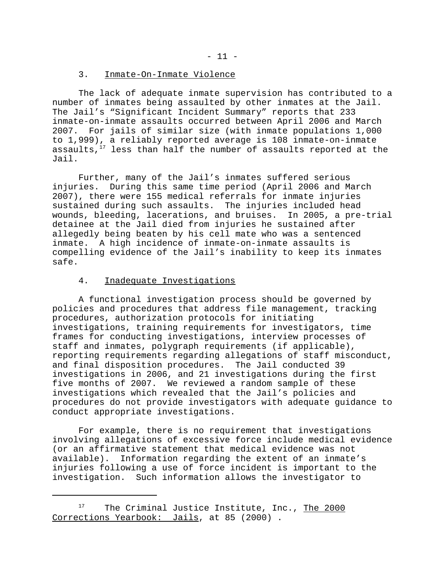### 3. Inmate-On-Inmate Violence

The lack of adequate inmate supervision has contributed to a number of inmates being assaulted by other inmates at the Jail. The Jail's "Significant Incident Summary" reports that 233 inmate-on-inmate assaults occurred between April 2006 and March 2007. For jails of similar size (with inmate populations 1,000 to 1,999), a reliably reported average is 108 inmate-on-inmate assaults, $17$  less than half the number of assaults reported at the Jail.

Further, many of the Jail's inmates suffered serious injuries. During this same time period (April 2006 and March 2007), there were 155 medical referrals for inmate injuries sustained during such assaults. The injuries included head wounds, bleeding, lacerations, and bruises. In 2005, a pre-trial detainee at the Jail died from injuries he sustained after allegedly being beaten by his cell mate who was a sentenced inmate. A high incidence of inmate-on-inmate assaults is compelling evidence of the Jail's inability to keep its inmates safe.

## 4. Inadequate Investigations

A functional investigation process should be governed by policies and procedures that address file management, tracking procedures, authorization protocols for initiating investigations, training requirements for investigators, time frames for conducting investigations, interview processes of staff and inmates, polygraph requirements (if applicable), reporting requirements regarding allegations of staff misconduct, and final disposition procedures. The Jail conducted 39 investigations in 2006, and 21 investigations during the first five months of 2007. We reviewed a random sample of these investigations which revealed that the Jail's policies and procedures do not provide investigators with adequate guidance to conduct appropriate investigations.

For example, there is no requirement that investigations involving allegations of excessive force include medical evidence (or an affirmative statement that medical evidence was not available). Information regarding the extent of an inmate's injuries following a use of force incident is important to the investigation. Such information allows the investigator to

 $17$  The Criminal Justice Institute, Inc., The 2000 Corrections Yearbook: Jails, at 85 (2000) .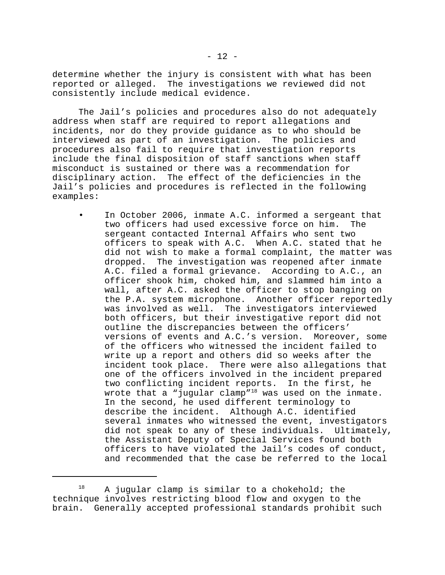determine whether the injury is consistent with what has been reported or alleged. The investigations we reviewed did not consistently include medical evidence.

The Jail's policies and procedures also do not adequately address when staff are required to report allegations and incidents, nor do they provide guidance as to who should be interviewed as part of an investigation. The policies and procedures also fail to require that investigation reports include the final disposition of staff sanctions when staff misconduct is sustained or there was a recommendation for disciplinary action. The effect of the deficiencies in the Jail's policies and procedures is reflected in the following examples:

In October 2006, inmate A.C. informed a sergeant that two officers had used excessive force on him. The sergeant contacted Internal Affairs who sent two officers to speak with A.C. When A.C. stated that he did not wish to make a formal complaint, the matter was dropped. The investigation was reopened after inmate A.C. filed a formal grievance. According to A.C., an officer shook him, choked him, and slammed him into a wall, after A.C. asked the officer to stop banging on the P.A. system microphone. Another officer reportedly was involved as well. The investigators interviewed both officers, but their investigative report did not outline the discrepancies between the officers' versions of events and A.C.'s version. Moreover, some of the officers who witnessed the incident failed to write up a report and others did so weeks after the incident took place. There were also allegations that one of the officers involved in the incident prepared two conflicting incident reports. In the first, he wrote that a "jugular clamp"<sup>18</sup> was used on the inmate. In the second, he used different terminology to describe the incident. Although A.C. identified several inmates who witnessed the event, investigators did not speak to any of these individuals. Ultimately, the Assistant Deputy of Special Services found both officers to have violated the Jail's codes of conduct, and recommended that the case be referred to the local

 $18$  A jugular clamp is similar to a chokehold; the technique involves restricting blood flow and oxygen to the brain. Generally accepted professional standards prohibit such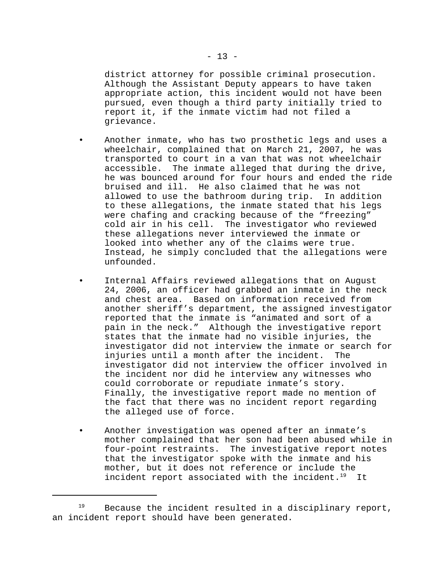district attorney for possible criminal prosecution. Although the Assistant Deputy appears to have taken appropriate action, this incident would not have been pursued, even though a third party initially tried to report it, if the inmate victim had not filed a grievance.

- Another inmate, who has two prosthetic legs and uses a wheelchair, complained that on March 21, 2007, he was transported to court in a van that was not wheelchair accessible. The inmate alleged that during the drive, he was bounced around for four hours and ended the ride bruised and ill. He also claimed that he was not allowed to use the bathroom during trip. In addition to these allegations, the inmate stated that his legs were chafing and cracking because of the "freezing" cold air in his cell. The investigator who reviewed these allegations never interviewed the inmate or looked into whether any of the claims were true. Instead, he simply concluded that the allegations were unfounded.
- Internal Affairs reviewed allegations that on August 24, 2006, an officer had grabbed an inmate in the neck and chest area. Based on information received from another sheriff's department, the assigned investigator reported that the inmate is "animated and sort of a pain in the neck." Although the investigative report states that the inmate had no visible injuries, the investigator did not interview the inmate or search for injuries until a month after the incident. The investigator did not interview the officer involved in the incident nor did he interview any witnesses who could corroborate or repudiate inmate's story. Finally, the investigative report made no mention of the fact that there was no incident report regarding the alleged use of force.
- Another investigation was opened after an inmate's mother complained that her son had been abused while in four-point restraints. The investigative report notes that the investigator spoke with the inmate and his mother, but it does not reference or include the incident report associated with the incident. $19$  It

 $19$  Because the incident resulted in a disciplinary report, an incident report should have been generated.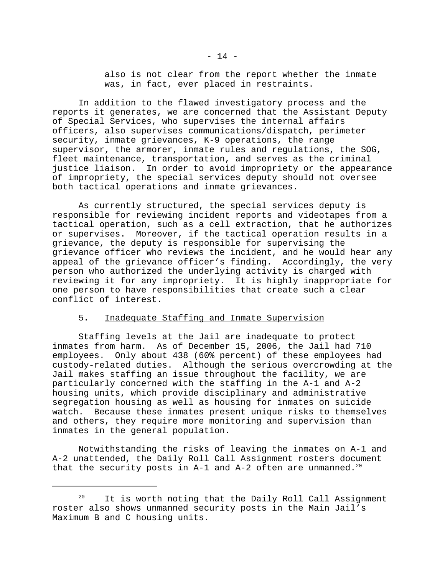also is not clear from the report whether the inmate was, in fact, ever placed in restraints.

In addition to the flawed investigatory process and the reports it generates, we are concerned that the Assistant Deputy of Special Services, who supervises the internal affairs officers, also supervises communications/dispatch, perimeter security, inmate grievances, K-9 operations, the range supervisor, the armorer, inmate rules and regulations, the SOG, fleet maintenance, transportation, and serves as the criminal justice liaison. In order to avoid impropriety or the appearance of impropriety, the special services deputy should not oversee both tactical operations and inmate grievances.

As currently structured, the special services deputy is responsible for reviewing incident reports and videotapes from a tactical operation, such as a cell extraction, that he authorizes or supervises. Moreover, if the tactical operation results in a grievance, the deputy is responsible for supervising the grievance officer who reviews the incident, and he would hear any appeal of the grievance officer's finding. Accordingly, the very person who authorized the underlying activity is charged with reviewing it for any impropriety. It is highly inappropriate for one person to have responsibilities that create such a clear conflict of interest.

## 5. Inadequate Staffing and Inmate Supervision

Staffing levels at the Jail are inadequate to protect inmates from harm. As of December 15, 2006, the Jail had 710 employees. Only about 438 (60% percent) of these employees had custody-related duties. Although the serious overcrowding at the Jail makes staffing an issue throughout the facility, we are particularly concerned with the staffing in the A-1 and A-2 housing units, which provide disciplinary and administrative segregation housing as well as housing for inmates on suicide watch. Because these inmates present unique risks to themselves and others, they require more monitoring and supervision than inmates in the general population.

Notwithstanding the risks of leaving the inmates on A-1 and A-2 unattended, the Daily Roll Call Assignment rosters document that the security posts in A-1 and A-2 often are unmanned.<sup>20</sup>

<sup>&</sup>lt;sup>20</sup> It is worth noting that the Daily Roll Call Assignment roster also shows unmanned security posts in the Main Jail's Maximum B and C housing units.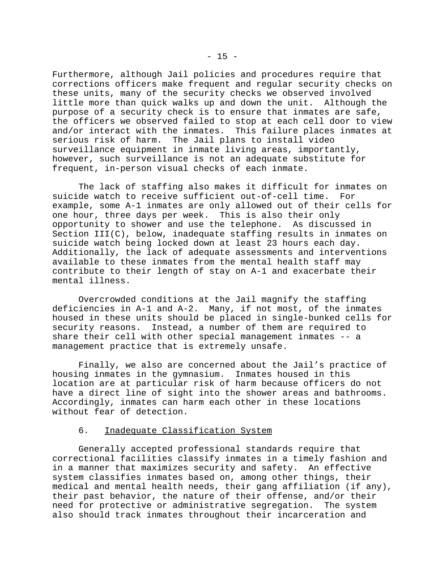Furthermore, although Jail policies and procedures require that corrections officers make frequent and regular security checks on these units, many of the security checks we observed involved little more than quick walks up and down the unit. Although the purpose of a security check is to ensure that inmates are safe, the officers we observed failed to stop at each cell door to view and/or interact with the inmates. This failure places inmates at serious risk of harm. The Jail plans to install video surveillance equipment in inmate living areas, importantly, however, such surveillance is not an adequate substitute for frequent, in-person visual checks of each inmate.

The lack of staffing also makes it difficult for inmates on suicide watch to receive sufficient out-of-cell time. For example, some A-1 inmates are only allowed out of their cells for one hour, three days per week. This is also their only opportunity to shower and use the telephone. As discussed in Section  $III(C)$ , below, inadequate staffing results in inmates on suicide watch being locked down at least 23 hours each day. Additionally, the lack of adequate assessments and interventions available to these inmates from the mental health staff may contribute to their length of stay on A-1 and exacerbate their mental illness.

Overcrowded conditions at the Jail magnify the staffing deficiencies in A-1 and A-2. Many, if not most, of the inmates housed in these units should be placed in single-bunked cells for security reasons. Instead, a number of them are required to share their cell with other special management inmates -- a management practice that is extremely unsafe.

Finally, we also are concerned about the Jail's practice of housing inmates in the gymnasium. Inmates housed in this location are at particular risk of harm because officers do not have a direct line of sight into the shower areas and bathrooms. Accordingly, inmates can harm each other in these locations without fear of detection.

## 6. Inadequate Classification System

Generally accepted professional standards require that correctional facilities classify inmates in a timely fashion and in a manner that maximizes security and safety. An effective system classifies inmates based on, among other things, their medical and mental health needs, their gang affiliation (if any), their past behavior, the nature of their offense, and/or their need for protective or administrative segregation. The system also should track inmates throughout their incarceration and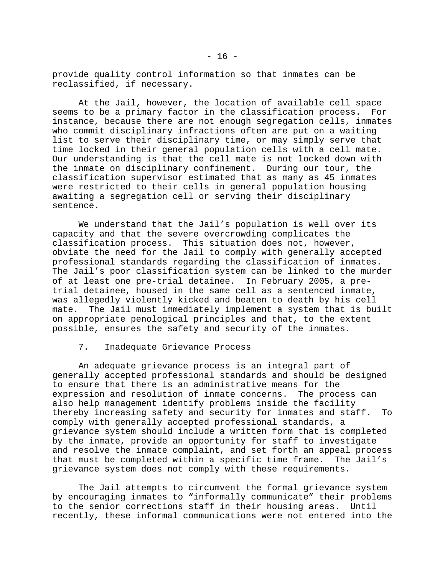provide quality control information so that inmates can be reclassified, if necessary.

At the Jail, however, the location of available cell space seems to be a primary factor in the classification process. For instance, because there are not enough segregation cells, inmates who commit disciplinary infractions often are put on a waiting list to serve their disciplinary time, or may simply serve that time locked in their general population cells with a cell mate. Our understanding is that the cell mate is not locked down with the inmate on disciplinary confinement. During our tour, the classification supervisor estimated that as many as 45 inmates were restricted to their cells in general population housing awaiting a segregation cell or serving their disciplinary sentence.

We understand that the Jail's population is well over its capacity and that the severe overcrowding complicates the classification process. This situation does not, however, obviate the need for the Jail to comply with generally accepted professional standards regarding the classification of inmates. The Jail's poor classification system can be linked to the murder of at least one pre-trial detainee. In February 2005, a pretrial detainee, housed in the same cell as a sentenced inmate, was allegedly violently kicked and beaten to death by his cell mate. The Jail must immediately implement a system that is built on appropriate penological principles and that, to the extent possible, ensures the safety and security of the inmates.

#### 7. Inadequate Grievance Process

An adequate grievance process is an integral part of generally accepted professional standards and should be designed to ensure that there is an administrative means for the expression and resolution of inmate concerns. The process can also help management identify problems inside the facility thereby increasing safety and security for inmates and staff. To comply with generally accepted professional standards, a grievance system should include a written form that is completed by the inmate, provide an opportunity for staff to investigate and resolve the inmate complaint, and set forth an appeal process that must be completed within a specific time frame. The Jail's grievance system does not comply with these requirements.

The Jail attempts to circumvent the formal grievance system by encouraging inmates to "informally communicate" their problems to the senior corrections staff in their housing areas. Until recently, these informal communications were not entered into the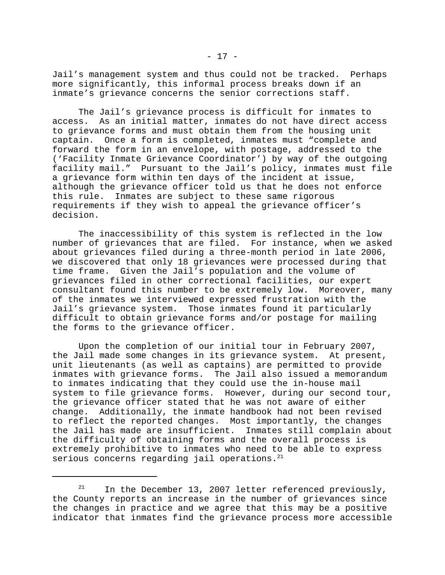Jail's management system and thus could not be tracked. Perhaps more significantly, this informal process breaks down if an inmate's grievance concerns the senior corrections staff.

The Jail's grievance process is difficult for inmates to access. As an initial matter, inmates do not have direct access to grievance forms and must obtain them from the housing unit captain. Once a form is completed, inmates must "complete and forward the form in an envelope, with postage, addressed to the ('Facility Inmate Grievance Coordinator') by way of the outgoing facility mail." Pursuant to the Jail's policy, inmates must file a grievance form within ten days of the incident at issue, although the grievance officer told us that he does not enforce this rule. Inmates are subject to these same rigorous requirements if they wish to appeal the grievance officer's decision.

The inaccessibility of this system is reflected in the low number of grievances that are filed. For instance, when we asked about grievances filed during a three-month period in late 2006, we discovered that only 18 grievances were processed during that time frame. Given the Jail's population and the volume of grievances filed in other correctional facilities, our expert consultant found this number to be extremely low. Moreover, many of the inmates we interviewed expressed frustration with the Jail's grievance system. Those inmates found it particularly difficult to obtain grievance forms and/or postage for mailing the forms to the grievance officer.

Upon the completion of our initial tour in February 2007, the Jail made some changes in its grievance system. At present, unit lieutenants (as well as captains) are permitted to provide inmates with grievance forms. The Jail also issued a memorandum to inmates indicating that they could use the in-house mail system to file grievance forms. However, during our second tour, the grievance officer stated that he was not aware of either change. Additionally, the inmate handbook had not been revised to reflect the reported changes. Most importantly, the changes the Jail has made are insufficient. Inmates still complain about the difficulty of obtaining forms and the overall process is extremely prohibitive to inmates who need to be able to express serious concerns regarding jail operations. $21$ 

 $21$  In the December 13, 2007 letter referenced previously, the County reports an increase in the number of grievances since the changes in practice and we agree that this may be a positive indicator that inmates find the grievance process more accessible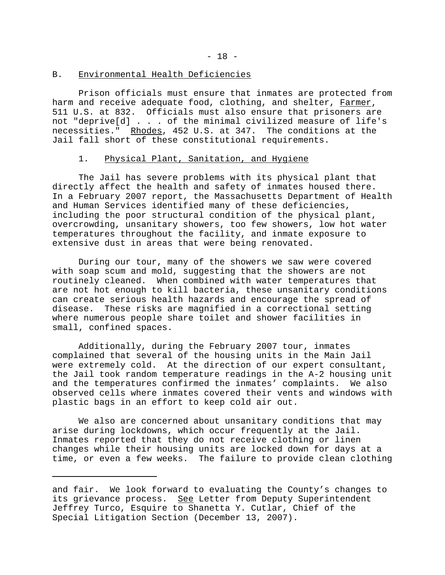#### B. Environmental Health Deficiencies

Prison officials must ensure that inmates are protected from harm and receive adequate food, clothing, and shelter, Farmer, 511 U.S. at 832. Officials must also ensure that prisoners are not "deprive[d] . . . of the minimal civilized measure of life's necessities." Rhodes, 452 U.S. at 347. The conditions at the Jail fall short of these constitutional requirements.

### 1. Physical Plant, Sanitation, and Hygiene

The Jail has severe problems with its physical plant that directly affect the health and safety of inmates housed there. In a February 2007 report, the Massachusetts Department of Health and Human Services identified many of these deficiencies, including the poor structural condition of the physical plant, overcrowding, unsanitary showers, too few showers, low hot water temperatures throughout the facility, and inmate exposure to extensive dust in areas that were being renovated.

During our tour, many of the showers we saw were covered with soap scum and mold, suggesting that the showers are not routinely cleaned. When combined with water temperatures that are not hot enough to kill bacteria, these unsanitary conditions can create serious health hazards and encourage the spread of disease. These risks are magnified in a correctional setting where numerous people share toilet and shower facilities in small, confined spaces.

Additionally, during the February 2007 tour, inmates complained that several of the housing units in the Main Jail were extremely cold. At the direction of our expert consultant, the Jail took random temperature readings in the A-2 housing unit and the temperatures confirmed the inmates' complaints. We also observed cells where inmates covered their vents and windows with plastic bags in an effort to keep cold air out.

We also are concerned about unsanitary conditions that may arise during lockdowns, which occur frequently at the Jail. Inmates reported that they do not receive clothing or linen changes while their housing units are locked down for days at a time, or even a few weeks. The failure to provide clean clothing

and fair. We look forward to evaluating the County's changes to its grievance process. See Letter from Deputy Superintendent Jeffrey Turco, Esquire to Shanetta Y. Cutlar, Chief of the Special Litigation Section (December 13, 2007).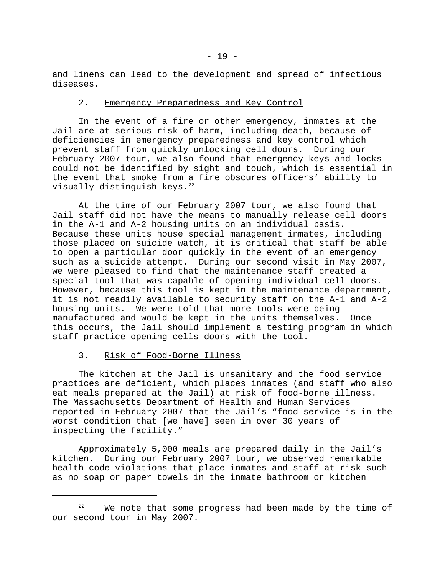and linens can lead to the development and spread of infectious diseases.

### 2. Emergency Preparedness and Key Control

In the event of a fire or other emergency, inmates at the Jail are at serious risk of harm, including death, because of deficiencies in emergency preparedness and key control which prevent staff from quickly unlocking cell doors. During our February 2007 tour, we also found that emergency keys and locks could not be identified by sight and touch, which is essential in the event that smoke from a fire obscures officers' ability to visually distinguish keys.<sup>22</sup>

At the time of our February 2007 tour, we also found that Jail staff did not have the means to manually release cell doors in the A-1 and A-2 housing units on an individual basis. Because these units house special management inmates, including those placed on suicide watch, it is critical that staff be able to open a particular door quickly in the event of an emergency such as a suicide attempt. During our second visit in May 2007, we were pleased to find that the maintenance staff created a special tool that was capable of opening individual cell doors. However, because this tool is kept in the maintenance department, it is not readily available to security staff on the A-1 and A-2 housing units. We were told that more tools were being manufactured and would be kept in the units themselves. Once this occurs, the Jail should implement a testing program in which staff practice opening cells doors with the tool.

## 3. Risk of Food-Borne Illness

The kitchen at the Jail is unsanitary and the food service practices are deficient, which places inmates (and staff who also eat meals prepared at the Jail) at risk of food-borne illness. The Massachusetts Department of Health and Human Services reported in February 2007 that the Jail's "food service is in the worst condition that [we have] seen in over 30 years of inspecting the facility."

Approximately 5,000 meals are prepared daily in the Jail's kitchen. During our February 2007 tour, we observed remarkable health code violations that place inmates and staff at risk such as no soap or paper towels in the inmate bathroom or kitchen

 $22$  We note that some progress had been made by the time of our second tour in May 2007.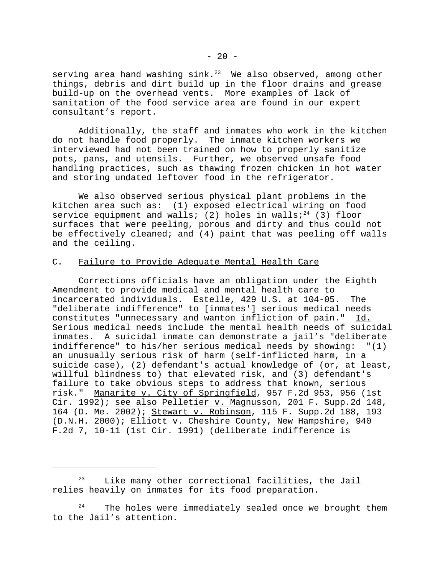serving area hand washing sink.<sup>23</sup> We also observed, among other things, debris and dirt build up in the floor drains and grease build-up on the overhead vents. More examples of lack of sanitation of the food service area are found in our expert consultant's report.

Additionally, the staff and inmates who work in the kitchen do not handle food properly. The inmate kitchen workers we interviewed had not been trained on how to properly sanitize pots, pans, and utensils. Further, we observed unsafe food handling practices, such as thawing frozen chicken in hot water and storing undated leftover food in the refrigerator.

We also observed serious physical plant problems in the kitchen area such as: (1) exposed electrical wiring on food service equipment and walls; (2) holes in walls;<sup>24</sup> (3) floor surfaces that were peeling, porous and dirty and thus could not be effectively cleaned; and (4) paint that was peeling off walls and the ceiling.

## C. Failure to Provide Adequate Mental Health Care

Corrections officials have an obligation under the Eighth Amendment to provide medical and mental health care to incarcerated individuals. Estelle, 429 U.S. at 104-05. The "deliberate indifference" to [inmates'] serious medical needs constitutes "unnecessary and wanton infliction of pain." Id. Serious medical needs include the mental health needs of suicidal inmates. A suicidal inmate can demonstrate a jail's "deliberate indifference" to his/her serious medical needs by showing: "(1) an unusually serious risk of harm (self-inflicted harm, in a suicide case), (2) defendant's actual knowledge of (or, at least, willful blindness to) that elevated risk, and (3) defendant's failure to take obvious steps to address that known, serious risk." Manarite v. City of Springfield, 957 F.2d 953, 956 (1st Cir. 1992); see also Pelletier v. Magnusson, 201 F. Supp.2d 148, 164 (D. Me. 2002); Stewart v. Robinson, 115 F. Supp.2d 188, 193 (D.N.H. 2000); Elliott v. Cheshire County, New Hampshire, 940 F.2d 7, 10-11 (1st Cir. 1991) (deliberate indifference is

 $23$  Like many other correctional facilities, the Jail relies heavily on inmates for its food preparation.

 $24$  The holes were immediately sealed once we brought them to the Jail's attention.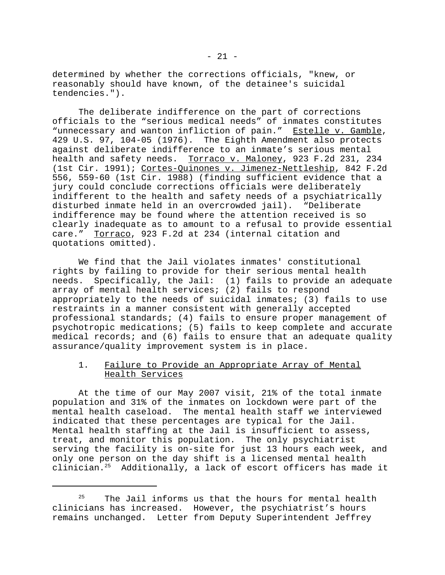determined by whether the corrections officials, "knew, or reasonably should have known, of the detainee's suicidal tendencies.").

The deliberate indifference on the part of corrections officials to the "serious medical needs" of inmates constitutes "unnecessary and wanton infliction of pain." Estelle v. Gamble, 429 U.S. 97, 104-05 (1976). The Eighth Amendment also protects against deliberate indifference to an inmate's serious mental health and safety needs. Torraco v. Maloney, 923 F.2d 231, 234 (1st Cir. 1991); Cortes-Quinones v. Jimenez-Nettleship, 842 F.2d 556, 559-60 (1st Cir. 1988) (finding sufficient evidence that a jury could conclude corrections officials were deliberately indifferent to the health and safety needs of a psychiatrically disturbed inmate held in an overcrowded jail). "Deliberate indifference may be found where the attention received is so clearly inadequate as to amount to a refusal to provide essential care." Torraco, 923 F.2d at 234 (internal citation and quotations omitted).

We find that the Jail violates inmates' constitutional rights by failing to provide for their serious mental health needs. Specifically, the Jail: (1) fails to provide an adequate array of mental health services; (2) fails to respond appropriately to the needs of suicidal inmates; (3) fails to use restraints in a manner consistent with generally accepted professional standards; (4) fails to ensure proper management of psychotropic medications; (5) fails to keep complete and accurate medical records; and (6) fails to ensure that an adequate quality assurance/quality improvement system is in place.

## 1. Failure to Provide an Appropriate Array of Mental Health Services

At the time of our May 2007 visit, 21% of the total inmate population and 31% of the inmates on lockdown were part of the mental health caseload. The mental health staff we interviewed indicated that these percentages are typical for the Jail. Mental health staffing at the Jail is insufficient to assess, treat, and monitor this population. The only psychiatrist serving the facility is on-site for just 13 hours each week, and only one person on the day shift is a licensed mental health clinician.25 Additionally, a lack of escort officers has made it

 $25$  The Jail informs us that the hours for mental health clinicians has increased. However, the psychiatrist's hours remains unchanged. Letter from Deputy Superintendent Jeffrey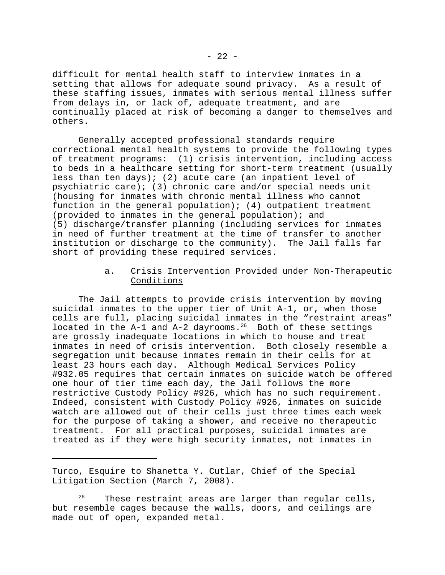difficult for mental health staff to interview inmates in a setting that allows for adequate sound privacy. As a result of these staffing issues, inmates with serious mental illness suffer from delays in, or lack of, adequate treatment, and are continually placed at risk of becoming a danger to themselves and others.

Generally accepted professional standards require correctional mental health systems to provide the following types of treatment programs: (1) crisis intervention, including access to beds in a healthcare setting for short-term treatment (usually less than ten days); (2) acute care (an inpatient level of psychiatric care); (3) chronic care and/or special needs unit (housing for inmates with chronic mental illness who cannot function in the general population); (4) outpatient treatment (provided to inmates in the general population); and (5) discharge/transfer planning (including services for inmates in need of further treatment at the time of transfer to another institution or discharge to the community). The Jail falls far short of providing these required services.

## a. Crisis Intervention Provided under Non-Therapeutic Conditions

The Jail attempts to provide crisis intervention by moving suicidal inmates to the upper tier of Unit A-1, or, when those cells are full, placing suicidal inmates in the "restraint areas" located in the  $A-1$  and  $A-2$  dayrooms.<sup>26</sup> Both of these settings are grossly inadequate locations in which to house and treat inmates in need of crisis intervention. Both closely resemble a segregation unit because inmates remain in their cells for at least 23 hours each day. Although Medical Services Policy #932.05 requires that certain inmates on suicide watch be offered one hour of tier time each day, the Jail follows the more restrictive Custody Policy #926, which has no such requirement. Indeed, consistent with Custody Policy #926, inmates on suicide watch are allowed out of their cells just three times each week for the purpose of taking a shower, and receive no therapeutic treatment. For all practical purposes, suicidal inmates are treated as if they were high security inmates, not inmates in

Turco, Esquire to Shanetta Y. Cutlar, Chief of the Special Litigation Section (March 7, 2008).

 $26$  These restraint areas are larger than regular cells, but resemble cages because the walls, doors, and ceilings are made out of open, expanded metal.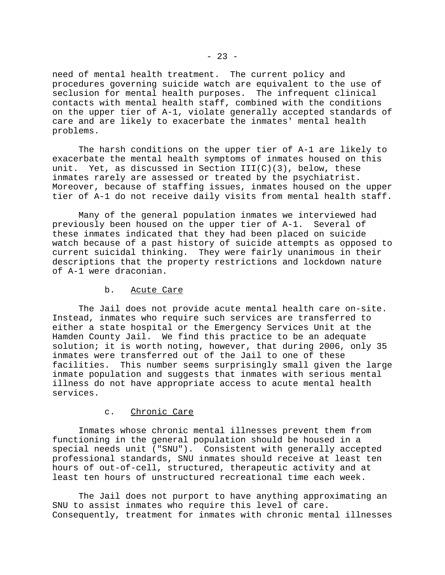need of mental health treatment. The current policy and procedures governing suicide watch are equivalent to the use of seclusion for mental health purposes. The infrequent clinical contacts with mental health staff, combined with the conditions on the upper tier of A-1, violate generally accepted standards of care and are likely to exacerbate the inmates' mental health problems.

The harsh conditions on the upper tier of A-1 are likely to exacerbate the mental health symptoms of inmates housed on this unit. Yet, as discussed in Section  $III(C)(3)$ , below, these inmates rarely are assessed or treated by the psychiatrist. Moreover, because of staffing issues, inmates housed on the upper tier of A-1 do not receive daily visits from mental health staff.

Many of the general population inmates we interviewed had previously been housed on the upper tier of A-1. Several of these inmates indicated that they had been placed on suicide watch because of a past history of suicide attempts as opposed to current suicidal thinking. They were fairly unanimous in their descriptions that the property restrictions and lockdown nature of A-1 were draconian.

## b. Acute Care

The Jail does not provide acute mental health care on-site. Instead, inmates who require such services are transferred to either a state hospital or the Emergency Services Unit at the Hamden County Jail. We find this practice to be an adequate solution; it is worth noting, however, that during 2006, only 35 inmates were transferred out of the Jail to one of these facilities. This number seems surprisingly small given the large inmate population and suggests that inmates with serious mental illness do not have appropriate access to acute mental health services.

## c. Chronic Care

Inmates whose chronic mental illnesses prevent them from functioning in the general population should be housed in a special needs unit ("SNU"). Consistent with generally accepted professional standards, SNU inmates should receive at least ten hours of out-of-cell, structured, therapeutic activity and at least ten hours of unstructured recreational time each week.

The Jail does not purport to have anything approximating an SNU to assist inmates who require this level of care. Consequently, treatment for inmates with chronic mental illnesses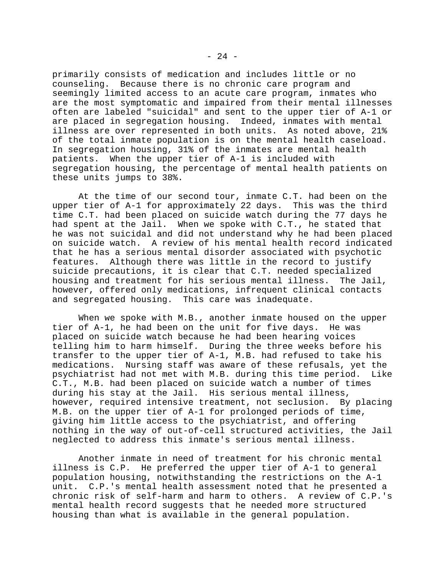primarily consists of medication and includes little or no counseling. Because there is no chronic care program and seemingly limited access to an acute care program, inmates who are the most symptomatic and impaired from their mental illnesses often are labeled "suicidal" and sent to the upper tier of A-1 or are placed in segregation housing. Indeed, inmates with mental illness are over represented in both units. As noted above, 21% of the total inmate population is on the mental health caseload. In segregation housing, 31% of the inmates are mental health patients. When the upper tier of A-1 is included with segregation housing, the percentage of mental health patients on these units jumps to 38%.

At the time of our second tour, inmate C.T. had been on the upper tier of A-1 for approximately 22 days. This was the third time C.T. had been placed on suicide watch during the 77 days he had spent at the Jail. When we spoke with C.T., he stated that he was not suicidal and did not understand why he had been placed on suicide watch. A review of his mental health record indicated that he has a serious mental disorder associated with psychotic features. Although there was little in the record to justify suicide precautions, it is clear that C.T. needed specialized housing and treatment for his serious mental illness. The Jail, however, offered only medications, infrequent clinical contacts and segregated housing. This care was inadequate.

When we spoke with M.B., another inmate housed on the upper tier of A-1, he had been on the unit for five days. He was placed on suicide watch because he had been hearing voices telling him to harm himself. During the three weeks before his transfer to the upper tier of A-1, M.B. had refused to take his medications. Nursing staff was aware of these refusals, yet the psychiatrist had not met with M.B. during this time period. Like C.T., M.B. had been placed on suicide watch a number of times during his stay at the Jail. His serious mental illness, however, required intensive treatment, not seclusion. By placing M.B. on the upper tier of A-1 for prolonged periods of time, giving him little access to the psychiatrist, and offering nothing in the way of out-of-cell structured activities, the Jail neglected to address this inmate's serious mental illness.

Another inmate in need of treatment for his chronic mental illness is C.P. He preferred the upper tier of A-1 to general population housing, notwithstanding the restrictions on the A-1 unit. C.P.'s mental health assessment noted that he presented a chronic risk of self-harm and harm to others. A review of C.P.'s mental health record suggests that he needed more structured housing than what is available in the general population.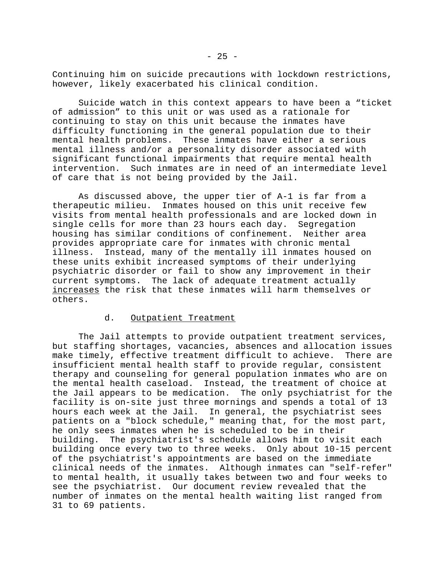Continuing him on suicide precautions with lockdown restrictions, however, likely exacerbated his clinical condition.

Suicide watch in this context appears to have been a "ticket of admission" to this unit or was used as a rationale for continuing to stay on this unit because the inmates have difficulty functioning in the general population due to their mental health problems. These inmates have either a serious mental illness and/or a personality disorder associated with significant functional impairments that require mental health intervention. Such inmates are in need of an intermediate level of care that is not being provided by the Jail.

As discussed above, the upper tier of A-1 is far from a therapeutic milieu. Inmates housed on this unit receive few visits from mental health professionals and are locked down in single cells for more than 23 hours each day. Segregation housing has similar conditions of confinement. Neither area provides appropriate care for inmates with chronic mental illness. Instead, many of the mentally ill inmates housed on these units exhibit increased symptoms of their underlying psychiatric disorder or fail to show any improvement in their current symptoms. The lack of adequate treatment actually increases the risk that these inmates will harm themselves or others.

### d. Outpatient Treatment

The Jail attempts to provide outpatient treatment services, but staffing shortages, vacancies, absences and allocation issues make timely, effective treatment difficult to achieve. There are insufficient mental health staff to provide regular, consistent therapy and counseling for general population inmates who are on the mental health caseload. Instead, the treatment of choice at the Jail appears to be medication. The only psychiatrist for the facility is on-site just three mornings and spends a total of 13 hours each week at the Jail. In general, the psychiatrist sees patients on a "block schedule," meaning that, for the most part, he only sees inmates when he is scheduled to be in their building. The psychiatrist's schedule allows him to visit each building once every two to three weeks. Only about 10-15 percent of the psychiatrist's appointments are based on the immediate clinical needs of the inmates. Although inmates can "self-refer" to mental health, it usually takes between two and four weeks to see the psychiatrist. Our document review revealed that the number of inmates on the mental health waiting list ranged from 31 to 69 patients.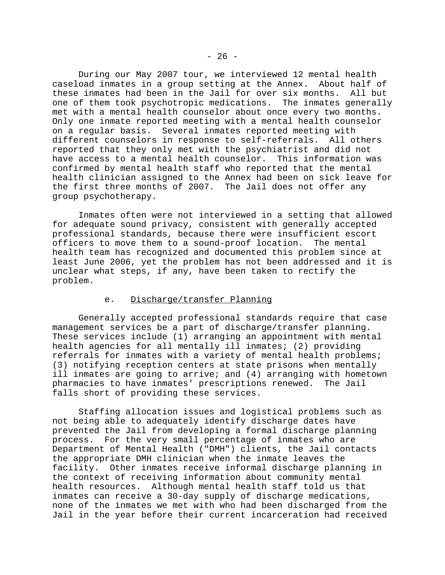During our May 2007 tour, we interviewed 12 mental health caseload inmates in a group setting at the Annex. About half of these inmates had been in the Jail for over six months. All but one of them took psychotropic medications. The inmates generally met with a mental health counselor about once every two months. Only one inmate reported meeting with a mental health counselor on a regular basis. Several inmates reported meeting with different counselors in response to self-referrals. All others reported that they only met with the psychiatrist and did not have access to a mental health counselor. This information was confirmed by mental health staff who reported that the mental health clinician assigned to the Annex had been on sick leave for the first three months of 2007. The Jail does not offer any group psychotherapy.

Inmates often were not interviewed in a setting that allowed for adequate sound privacy, consistent with generally accepted professional standards, because there were insufficient escort officers to move them to a sound-proof location. The mental health team has recognized and documented this problem since at least June 2006, yet the problem has not been addressed and it is unclear what steps, if any, have been taken to rectify the problem.

## e. Discharge/transfer Planning

Generally accepted professional standards require that case management services be a part of discharge/transfer planning. These services include (1) arranging an appointment with mental health agencies for all mentally ill inmates; (2) providing referrals for inmates with a variety of mental health problems; (3) notifying reception centers at state prisons when mentally ill inmates are going to arrive; and (4) arranging with hometown pharmacies to have inmates' prescriptions renewed. The Jail falls short of providing these services.

Staffing allocation issues and logistical problems such as not being able to adequately identify discharge dates have prevented the Jail from developing a formal discharge planning process. For the very small percentage of inmates who are Department of Mental Health ("DMH") clients, the Jail contacts the appropriate DMH clinician when the inmate leaves the facility. Other inmates receive informal discharge planning in the context of receiving information about community mental health resources. Although mental health staff told us that inmates can receive a 30-day supply of discharge medications, none of the inmates we met with who had been discharged from the Jail in the year before their current incarceration had received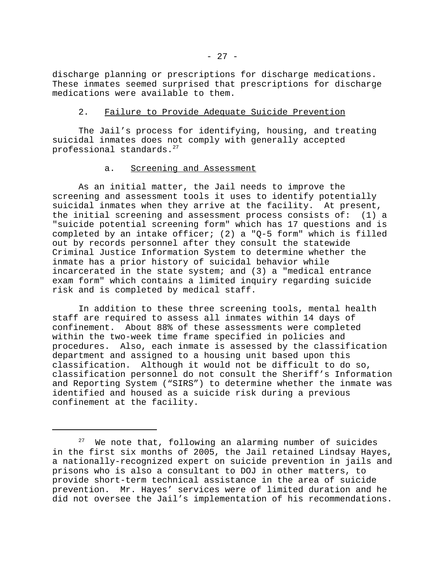discharge planning or prescriptions for discharge medications. These inmates seemed surprised that prescriptions for discharge medications were available to them.

## 2. Failure to Provide Adequate Suicide Prevention

The Jail's process for identifying, housing, and treating suicidal inmates does not comply with generally accepted professional standards.<sup>27</sup>

## a. Screening and Assessment

As an initial matter, the Jail needs to improve the screening and assessment tools it uses to identify potentially suicidal inmates when they arrive at the facility. At present, the initial screening and assessment process consists of: (1) a "suicide potential screening form" which has 17 questions and is completed by an intake officer; (2) a "Q-5 form" which is filled out by records personnel after they consult the statewide Criminal Justice Information System to determine whether the inmate has a prior history of suicidal behavior while incarcerated in the state system; and (3) a "medical entrance exam form" which contains a limited inquiry regarding suicide risk and is completed by medical staff.

In addition to these three screening tools, mental health staff are required to assess all inmates within 14 days of confinement. About 88% of these assessments were completed within the two-week time frame specified in policies and procedures. Also, each inmate is assessed by the classification department and assigned to a housing unit based upon this classification. Although it would not be difficult to do so, classification personnel do not consult the Sheriff's Information and Reporting System ("SIRS") to determine whether the inmate was identified and housed as a suicide risk during a previous confinement at the facility.

We note that, following an alarming number of suicides in the first six months of 2005, the Jail retained Lindsay Hayes, a nationally-recognized expert on suicide prevention in jails and prisons who is also a consultant to DOJ in other matters, to provide short-term technical assistance in the area of suicide prevention. Mr. Hayes' services were of limited duration and he did not oversee the Jail's implementation of his recommendations.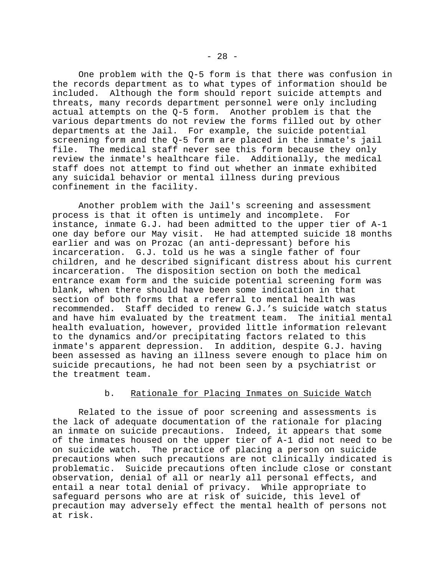One problem with the  $Q-5$  form is that there was confusion in the records department as to what types of information should be included. Although the form should report suicide attempts and threats, many records department personnel were only including actual attempts on the Q-5 form. Another problem is that the various departments do not review the forms filled out by other departments at the Jail. For example, the suicide potential screening form and the Q-5 form are placed in the inmate's jail file. The medical staff never see this form because they only review the inmate's healthcare file. Additionally, the medical staff does not attempt to find out whether an inmate exhibited any suicidal behavior or mental illness during previous confinement in the facility.

Another problem with the Jail's screening and assessment process is that it often is untimely and incomplete. For instance, inmate G.J. had been admitted to the upper tier of A-1 one day before our May visit. He had attempted suicide 18 months earlier and was on Prozac (an anti-depressant) before his incarceration. G.J. told us he was a single father of four children, and he described significant distress about his current incarceration. The disposition section on both the medical entrance exam form and the suicide potential screening form was blank, when there should have been some indication in that section of both forms that a referral to mental health was recommended. Staff decided to renew G.J.'s suicide watch status<br>and have him evaluated by the treatment team. The initial mental and have him evaluated by the treatment team. health evaluation, however, provided little information relevant to the dynamics and/or precipitating factors related to this inmate's apparent depression. In addition, despite G.J. having been assessed as having an illness severe enough to place him on suicide precautions, he had not been seen by a psychiatrist or the treatment team.

## b. Rationale for Placing Inmates on Suicide Watch

Related to the issue of poor screening and assessments is the lack of adequate documentation of the rationale for placing an inmate on suicide precautions. Indeed, it appears that some of the inmates housed on the upper tier of A-1 did not need to be on suicide watch. The practice of placing a person on suicide precautions when such precautions are not clinically indicated is problematic. Suicide precautions often include close or constant observation, denial of all or nearly all personal effects, and entail a near total denial of privacy. While appropriate to safeguard persons who are at risk of suicide, this level of precaution may adversely effect the mental health of persons not at risk.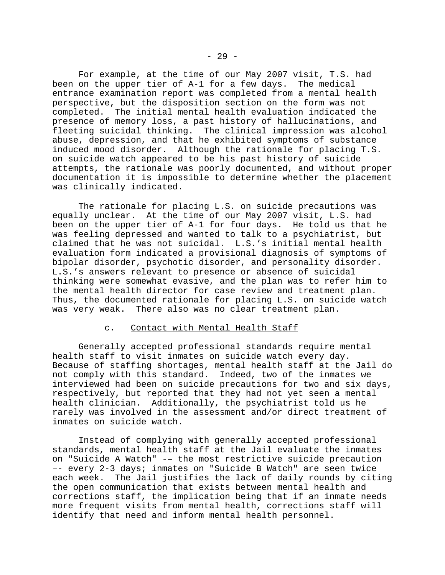For example, at the time of our May 2007 visit, T.S. had been on the upper tier of A-1 for a few days. The medical entrance examination report was completed from a mental health perspective, but the disposition section on the form was not completed. The initial mental health evaluation indicated the presence of memory loss, a past history of hallucinations, and fleeting suicidal thinking. The clinical impression was alcohol abuse, depression, and that he exhibited symptoms of substance induced mood disorder. Although the rationale for placing T.S. on suicide watch appeared to be his past history of suicide attempts, the rationale was poorly documented, and without proper documentation it is impossible to determine whether the placement was clinically indicated.

The rationale for placing L.S. on suicide precautions was equally unclear. At the time of our May 2007 visit, L.S. had been on the upper tier of A-1 for four days. He told us that he was feeling depressed and wanted to talk to a psychiatrist, but claimed that he was not suicidal. L.S.'s initial mental health evaluation form indicated a provisional diagnosis of symptoms of bipolar disorder, psychotic disorder, and personality disorder. L.S.'s answers relevant to presence or absence of suicidal thinking were somewhat evasive, and the plan was to refer him to the mental health director for case review and treatment plan. Thus, the documented rationale for placing L.S. on suicide watch was very weak. There also was no clear treatment plan.

### c. Contact with Mental Health Staff

Generally accepted professional standards require mental health staff to visit inmates on suicide watch every day. Because of staffing shortages, mental health staff at the Jail do not comply with this standard. Indeed, two of the inmates we interviewed had been on suicide precautions for two and six days, respectively, but reported that they had not yet seen a mental health clinician. Additionally, the psychiatrist told us he rarely was involved in the assessment and/or direct treatment of inmates on suicide watch.

Instead of complying with generally accepted professional standards, mental health staff at the Jail evaluate the inmates on "Suicide A Watch" -– the most restrictive suicide precaution –- every 2-3 days; inmates on "Suicide B Watch" are seen twice each week. The Jail justifies the lack of daily rounds by citing the open communication that exists between mental health and corrections staff, the implication being that if an inmate needs more frequent visits from mental health, corrections staff will identify that need and inform mental health personnel.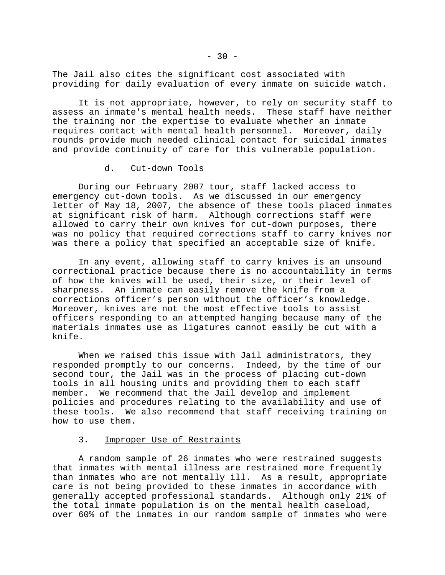The Jail also cites the significant cost associated with providing for daily evaluation of every inmate on suicide watch.

It is not appropriate, however, to rely on security staff to assess an inmate's mental health needs. These staff have neither the training nor the expertise to evaluate whether an inmate requires contact with mental health personnel. Moreover, daily rounds provide much needed clinical contact for suicidal inmates and provide continuity of care for this vulnerable population.

## d. Cut-down Tools

During our February 2007 tour, staff lacked access to emergency cut-down tools. As we discussed in our emergency letter of May 18, 2007, the absence of these tools placed inmates at significant risk of harm. Although corrections staff were allowed to carry their own knives for cut-down purposes, there was no policy that required corrections staff to carry knives nor was there a policy that specified an acceptable size of knife.

In any event, allowing staff to carry knives is an unsound correctional practice because there is no accountability in terms of how the knives will be used, their size, or their level of sharpness. An inmate can easily remove the knife from a corrections officer's person without the officer's knowledge. Moreover, knives are not the most effective tools to assist officers responding to an attempted hanging because many of the materials inmates use as ligatures cannot easily be cut with a knife.

When we raised this issue with Jail administrators, they responded promptly to our concerns. Indeed, by the time of our second tour, the Jail was in the process of placing cut-down tools in all housing units and providing them to each staff member. We recommend that the Jail develop and implement policies and procedures relating to the availability and use of these tools. We also recommend that staff receiving training on how to use them.

## 3. Improper Use of Restraints

A random sample of 26 inmates who were restrained suggests that inmates with mental illness are restrained more frequently than inmates who are not mentally ill. As a result, appropriate care is not being provided to these inmates in accordance with generally accepted professional standards. Although only 21% of the total inmate population is on the mental health caseload, over 60% of the inmates in our random sample of inmates who were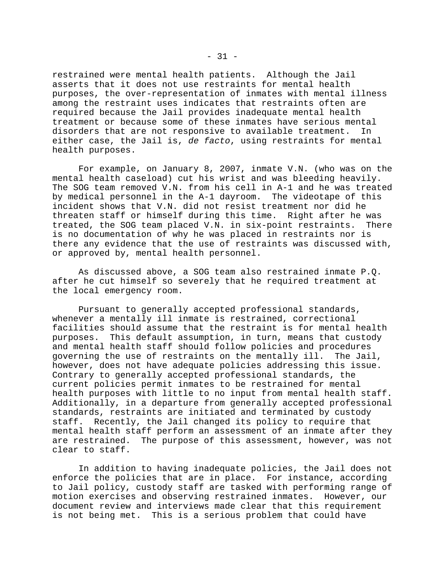restrained were mental health patients. Although the Jail asserts that it does not use restraints for mental health purposes, the over-representation of inmates with mental illness among the restraint uses indicates that restraints often are required because the Jail provides inadequate mental health treatment or because some of these inmates have serious mental disorders that are not responsive to available treatment. In either case, the Jail is, *de facto*, using restraints for mental health purposes.

For example, on January 8, 2007, inmate V.N. (who was on the mental health caseload) cut his wrist and was bleeding heavily. The SOG team removed V.N. from his cell in A-1 and he was treated by medical personnel in the A-1 dayroom. The videotape of this incident shows that V.N. did not resist treatment nor did he threaten staff or himself during this time. Right after he was treated, the SOG team placed V.N. in six-point restraints. There is no documentation of why he was placed in restraints nor is there any evidence that the use of restraints was discussed with, or approved by, mental health personnel.

As discussed above, a SOG team also restrained inmate P.Q. after he cut himself so severely that he required treatment at the local emergency room.

Pursuant to generally accepted professional standards, whenever a mentally ill inmate is restrained, correctional facilities should assume that the restraint is for mental health purposes. This default assumption, in turn, means that custody and mental health staff should follow policies and procedures governing the use of restraints on the mentally ill. The Jail, however, does not have adequate policies addressing this issue. Contrary to generally accepted professional standards, the current policies permit inmates to be restrained for mental health purposes with little to no input from mental health staff. Additionally, in a departure from generally accepted professional standards, restraints are initiated and terminated by custody staff. Recently, the Jail changed its policy to require that mental health staff perform an assessment of an inmate after they are restrained. The purpose of this assessment, however, was not clear to staff.

In addition to having inadequate policies, the Jail does not enforce the policies that are in place. For instance, according to Jail policy, custody staff are tasked with performing range of motion exercises and observing restrained inmates. However, our document review and interviews made clear that this requirement is not being met. This is a serious problem that could have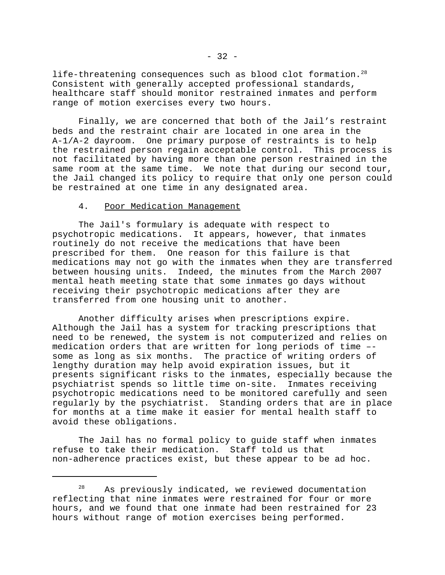life-threatening consequences such as blood clot formation.<sup>28</sup> Consistent with generally accepted professional standards, healthcare staff should monitor restrained inmates and perform range of motion exercises every two hours.

Finally, we are concerned that both of the Jail's restraint beds and the restraint chair are located in one area in the A-1/A-2 dayroom. One primary purpose of restraints is to help the restrained person regain acceptable control. This process is not facilitated by having more than one person restrained in the same room at the same time. We note that during our second tour, the Jail changed its policy to require that only one person could be restrained at one time in any designated area.

#### 4. Poor Medication Management

The Jail's formulary is adequate with respect to psychotropic medications. It appears, however, that inmates routinely do not receive the medications that have been prescribed for them. One reason for this failure is that medications may not go with the inmates when they are transferred between housing units. Indeed, the minutes from the March 2007 mental heath meeting state that some inmates go days without receiving their psychotropic medications after they are transferred from one housing unit to another.

Another difficulty arises when prescriptions expire. Although the Jail has a system for tracking prescriptions that need to be renewed, the system is not computerized and relies on medication orders that are written for long periods of time – some as long as six months. The practice of writing orders of lengthy duration may help avoid expiration issues, but it presents significant risks to the inmates, especially because the psychiatrist spends so little time on-site. Inmates receiving psychotropic medications need to be monitored carefully and seen regularly by the psychiatrist. Standing orders that are in place for months at a time make it easier for mental health staff to avoid these obligations.

The Jail has no formal policy to guide staff when inmates refuse to take their medication. Staff told us that non-adherence practices exist, but these appear to be ad hoc.

<sup>&</sup>lt;sup>28</sup> As previously indicated, we reviewed documentation reflecting that nine inmates were restrained for four or more hours, and we found that one inmate had been restrained for 23 hours without range of motion exercises being performed.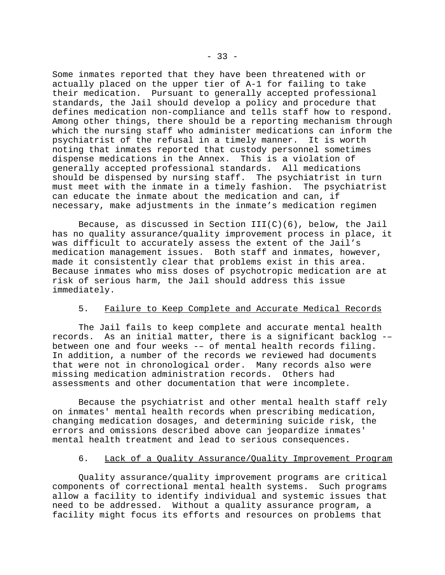Some inmates reported that they have been threatened with or actually placed on the upper tier of A-1 for failing to take their medication. Pursuant to generally accepted professional standards, the Jail should develop a policy and procedure that defines medication non-compliance and tells staff how to respond. Among other things, there should be a reporting mechanism through which the nursing staff who administer medications can inform the psychiatrist of the refusal in a timely manner. It is worth noting that inmates reported that custody personnel sometimes dispense medications in the Annex. This is a violation of generally accepted professional standards. All medications should be dispensed by nursing staff. The psychiatrist in turn must meet with the inmate in a timely fashion. The psychiatrist can educate the inmate about the medication and can, if necessary, make adjustments in the inmate's medication regimen

Because, as discussed in Section  $III(C)(6)$ , below, the Jail has no quality assurance/quality improvement process in place, it was difficult to accurately assess the extent of the Jail's medication management issues. Both staff and inmates, however, made it consistently clear that problems exist in this area. Because inmates who miss doses of psychotropic medication are at risk of serious harm, the Jail should address this issue immediately.

### 5. Failure to Keep Complete and Accurate Medical Records

The Jail fails to keep complete and accurate mental health records. As an initial matter, there is a significant backlog -– between one and four weeks -– of mental health records filing. In addition, a number of the records we reviewed had documents that were not in chronological order. Many records also were missing medication administration records. Others had assessments and other documentation that were incomplete.

Because the psychiatrist and other mental health staff rely on inmates' mental health records when prescribing medication, changing medication dosages, and determining suicide risk, the errors and omissions described above can jeopardize inmates' mental health treatment and lead to serious consequences.

### 6. Lack of a Quality Assurance/Quality Improvement Program

Quality assurance/quality improvement programs are critical components of correctional mental health systems. Such programs allow a facility to identify individual and systemic issues that need to be addressed. Without a quality assurance program, a facility might focus its efforts and resources on problems that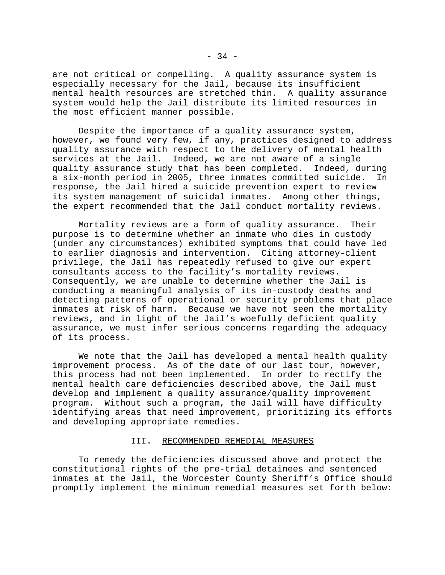are not critical or compelling. A quality assurance system is especially necessary for the Jail, because its insufficient mental health resources are stretched thin. A quality assurance system would help the Jail distribute its limited resources in the most efficient manner possible.

Despite the importance of a quality assurance system, however, we found very few, if any, practices designed to address quality assurance with respect to the delivery of mental health services at the Jail. Indeed, we are not aware of a single quality assurance study that has been completed. Indeed, during a six-month period in 2005, three inmates committed suicide. In response, the Jail hired a suicide prevention expert to review its system management of suicidal inmates. Among other things, the expert recommended that the Jail conduct mortality reviews.

Mortality reviews are a form of quality assurance. Their purpose is to determine whether an inmate who dies in custody (under any circumstances) exhibited symptoms that could have led to earlier diagnosis and intervention. Citing attorney-client privilege, the Jail has repeatedly refused to give our expert consultants access to the facility's mortality reviews. Consequently, we are unable to determine whether the Jail is conducting a meaningful analysis of its in-custody deaths and detecting patterns of operational or security problems that place inmates at risk of harm. Because we have not seen the mortality reviews, and in light of the Jail's woefully deficient quality assurance, we must infer serious concerns regarding the adequacy of its process.

We note that the Jail has developed a mental health quality improvement process. As of the date of our last tour, however, this process had not been implemented. In order to rectify the mental health care deficiencies described above, the Jail must develop and implement a quality assurance/quality improvement program. Without such a program, the Jail will have difficulty identifying areas that need improvement, prioritizing its efforts and developing appropriate remedies.

#### III. RECOMMENDED REMEDIAL MEASURES

To remedy the deficiencies discussed above and protect the constitutional rights of the pre-trial detainees and sentenced inmates at the Jail, the Worcester County Sheriff's Office should promptly implement the minimum remedial measures set forth below: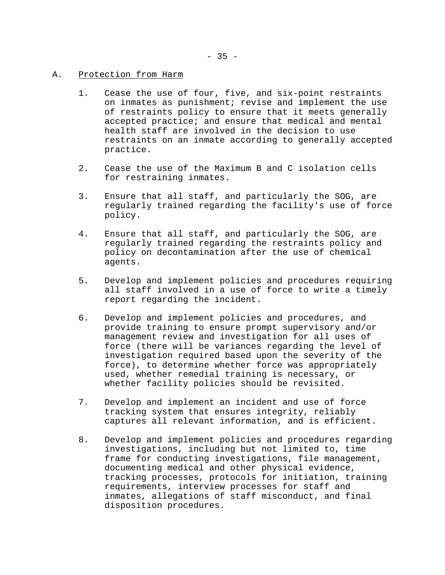## A. Protection from Harm

- 1. Cease the use of four, five, and six-point restraints on inmates as punishment; revise and implement the use of restraints policy to ensure that it meets generally accepted practice; and ensure that medical and mental health staff are involved in the decision to use restraints on an inmate according to generally accepted practice.
- 2. Cease the use of the Maximum B and C isolation cells for restraining inmates.
- 3. Ensure that all staff, and particularly the SOG, are regularly trained regarding the facility's use of force policy.
- 4. Ensure that all staff, and particularly the SOG, are regularly trained regarding the restraints policy and policy on decontamination after the use of chemical agents.
- 5. Develop and implement policies and procedures requiring all staff involved in a use of force to write a timely report regarding the incident.
- 6. Develop and implement policies and procedures, and provide training to ensure prompt supervisory and/or management review and investigation for all uses of force (there will be variances regarding the level of investigation required based upon the severity of the force), to determine whether force was appropriately used, whether remedial training is necessary, or whether facility policies should be revisited.
- 7. Develop and implement an incident and use of force tracking system that ensures integrity, reliably captures all relevant information, and is efficient.
- 8. Develop and implement policies and procedures regarding investigations, including but not limited to, time frame for conducting investigations, file management, documenting medical and other physical evidence, tracking processes, protocols for initiation, training requirements, interview processes for staff and inmates, allegations of staff misconduct, and final disposition procedures.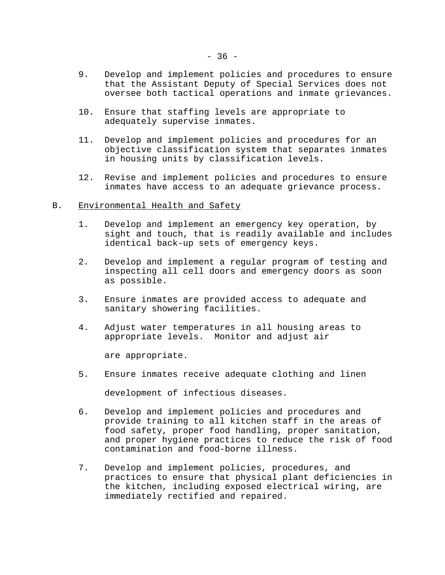- 9. Develop and implement policies and procedures to ensure that the Assistant Deputy of Special Services does not oversee both tactical operations and inmate grievances.
- 10. Ensure that staffing levels are appropriate to adequately supervise inmates.
- 11. Develop and implement policies and procedures for an objective classification system that separates inmates in housing units by classification levels.
- 12. Revise and implement policies and procedures to ensure inmates have access to an adequate grievance process.

### B. Environmental Health and Safety

- 1. Develop and implement an emergency key operation, by sight and touch, that is readily available and includes identical back-up sets of emergency keys.
- 2. Develop and implement a regular program of testing and inspecting all cell doors and emergency doors as soon as possible.
- 3. Ensure inmates are provided access to adequate and sanitary showering facilities.
- 4. Adjust water temperatures in all housing areas to appropriate levels. Monitor and adjust air

are appropriate.

5. Ensure inmates receive adequate clothing and linen

development of infectious diseases.

- 6. Develop and implement policies and procedures and provide training to all kitchen staff in the areas of food safety, proper food handling, proper sanitation, and proper hygiene practices to reduce the risk of food contamination and food-borne illness.
- 7. Develop and implement policies, procedures, and practices to ensure that physical plant deficiencies in the kitchen, including exposed electrical wiring, are immediately rectified and repaired.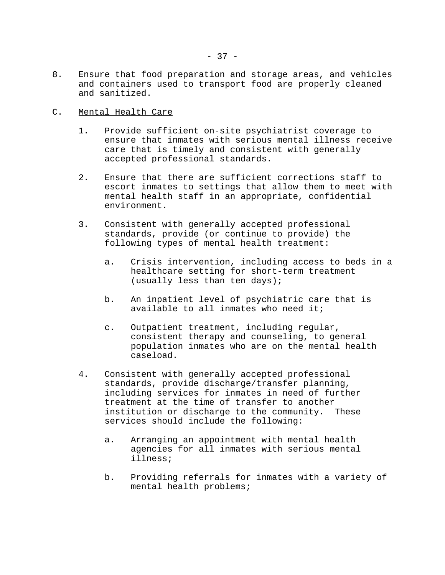8. Ensure that food preparation and storage areas, and vehicles and containers used to transport food are properly cleaned and sanitized.

## C. Mental Health Care

- 1. Provide sufficient on-site psychiatrist coverage to ensure that inmates with serious mental illness receive care that is timely and consistent with generally accepted professional standards.
- 2. Ensure that there are sufficient corrections staff to escort inmates to settings that allow them to meet with mental health staff in an appropriate, confidential environment.
- 3. Consistent with generally accepted professional standards, provide (or continue to provide) the following types of mental health treatment:
	- a. Crisis intervention, including access to beds in a healthcare setting for short-term treatment (usually less than ten days);
	- b. An inpatient level of psychiatric care that is available to all inmates who need it;
	- c. Outpatient treatment, including regular, consistent therapy and counseling, to general population inmates who are on the mental health caseload.
- 4. Consistent with generally accepted professional standards, provide discharge/transfer planning, including services for inmates in need of further treatment at the time of transfer to another institution or discharge to the community. These services should include the following:
	- a. Arranging an appointment with mental health agencies for all inmates with serious mental illness;
	- b. Providing referrals for inmates with a variety of mental health problems;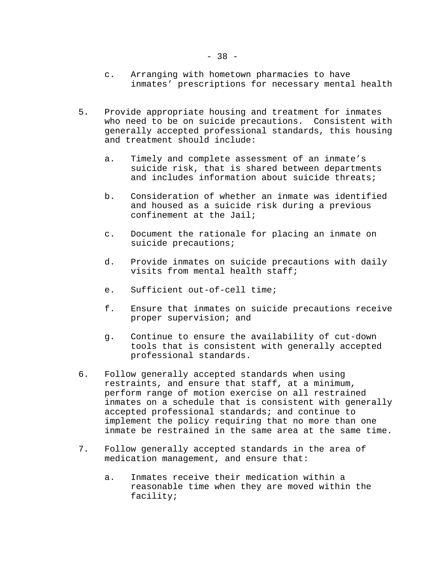- c. Arranging with hometown pharmacies to have inmates' prescriptions for necessary mental health
- 5. Provide appropriate housing and treatment for inmates who need to be on suicide precautions. Consistent with generally accepted professional standards, this housing and treatment should include:
	- a. Timely and complete assessment of an inmate's suicide risk, that is shared between departments and includes information about suicide threats;
	- b. Consideration of whether an inmate was identified and housed as a suicide risk during a previous confinement at the Jail;
	- c. Document the rationale for placing an inmate on suicide precautions;
	- d. Provide inmates on suicide precautions with daily visits from mental health staff;
	- e. Sufficient out-of-cell time;
	- f. Ensure that inmates on suicide precautions receive proper supervision; and
	- g. Continue to ensure the availability of cut-down tools that is consistent with generally accepted professional standards.
- 6. Follow generally accepted standards when using restraints, and ensure that staff, at a minimum, perform range of motion exercise on all restrained inmates on a schedule that is consistent with generally accepted professional standards; and continue to implement the policy requiring that no more than one inmate be restrained in the same area at the same time.
- 7. Follow generally accepted standards in the area of medication management, and ensure that:
	- a. Inmates receive their medication within a reasonable time when they are moved within the facility;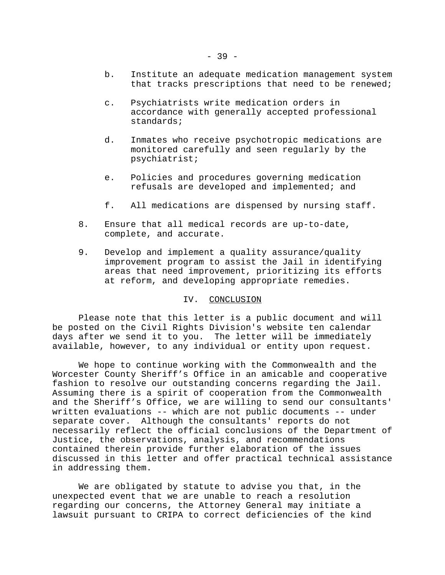- b. Institute an adequate medication management system that tracks prescriptions that need to be renewed;
- c. Psychiatrists write medication orders in accordance with generally accepted professional standards;
- d. Inmates who receive psychotropic medications are monitored carefully and seen regularly by the psychiatrist;
- e. Policies and procedures governing medication refusals are developed and implemented; and
- f. All medications are dispensed by nursing staff.
- 8. Ensure that all medical records are up-to-date, complete, and accurate.
- 9. Develop and implement a quality assurance/quality improvement program to assist the Jail in identifying areas that need improvement, prioritizing its efforts at reform, and developing appropriate remedies.

#### IV. CONCLUSION

Please note that this letter is a public document and will be posted on the Civil Rights Division's website ten calendar days after we send it to you. The letter will be immediately available, however, to any individual or entity upon request.

We hope to continue working with the Commonwealth and the Worcester County Sheriff's Office in an amicable and cooperative fashion to resolve our outstanding concerns regarding the Jail. Assuming there is a spirit of cooperation from the Commonwealth and the Sheriff's Office, we are willing to send our consultants' written evaluations -- which are not public documents -- under separate cover. Although the consultants' reports do not necessarily reflect the official conclusions of the Department of Justice, the observations, analysis, and recommendations contained therein provide further elaboration of the issues discussed in this letter and offer practical technical assistance in addressing them.

We are obligated by statute to advise you that, in the unexpected event that we are unable to reach a resolution regarding our concerns, the Attorney General may initiate a lawsuit pursuant to CRIPA to correct deficiencies of the kind